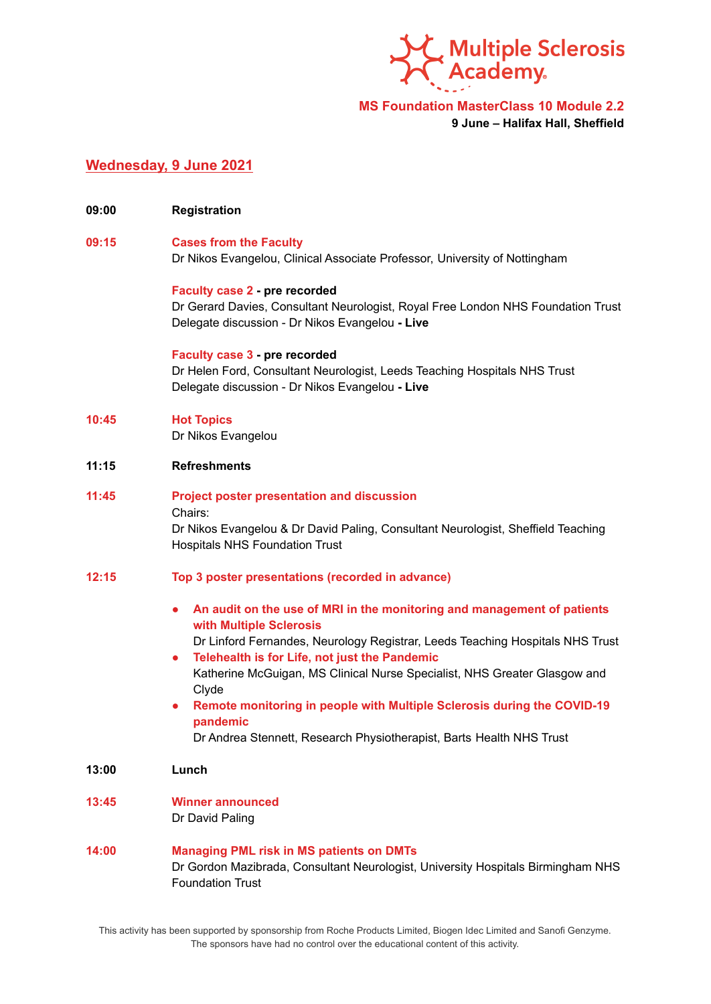

**MS Foundation MasterClass 10 Module 2.2**

**9 June – Halifax Hall, Sheffield**

# **Wednesday, 9 June 2021**

**09:00 Registration**

# **09:15 Cases from the Faculty** Dr Nikos Evangelou, Clinical Associate Professor, University of Nottingham

**Faculty case 2 - pre recorded**

Dr Gerard Davies, Consultant Neurologist, Royal Free London NHS Foundation Trust Delegate discussion - Dr Nikos Evangelou **- Live**

#### **Faculty case 3 - pre recorded**

Dr Helen Ford, Consultant Neurologist, Leeds Teaching Hospitals NHS Trust Delegate discussion - Dr Nikos Evangelou **- Live**

### **10:45 Hot Topics**

Dr Nikos Evangelou

## **11:15 Refreshments**

**11:45 Project poster presentation and discussion** Chairs: Dr Nikos Evangelou & Dr David Paling, Consultant Neurologist, Sheffield Teaching Hospitals NHS Foundation Trust

### **12:15 Top 3 poster presentations (recorded in advance)**

- **● An audit on the use of MRI in the monitoring and management of patients with Multiple Sclerosis**
- Dr Linford Fernandes, Neurology Registrar, Leeds Teaching Hospitals NHS Trust **● Telehealth is for Life, not just the Pandemic** Katherine McGuigan, MS Clinical Nurse Specialist, NHS Greater Glasgow and Clyde
- **● Remote monitoring in people with Multiple Sclerosis during the COVID-19 pandemic**

Dr Andrea Stennett, Research Physiotherapist, Barts Health NHS Trust

**13:00 Lunch**

#### **13:45 Winner announced** Dr David Paling

# **14:00 Managing PML risk in MS patients on DMTs** Dr Gordon Mazibrada, Consultant Neurologist, University Hospitals Birmingham NHS Foundation Trust

This activity has been supported by sponsorship from Roche Products Limited, Biogen Idec Limited and Sanofi Genzyme. The sponsors have had no control over the educational content of this activity.